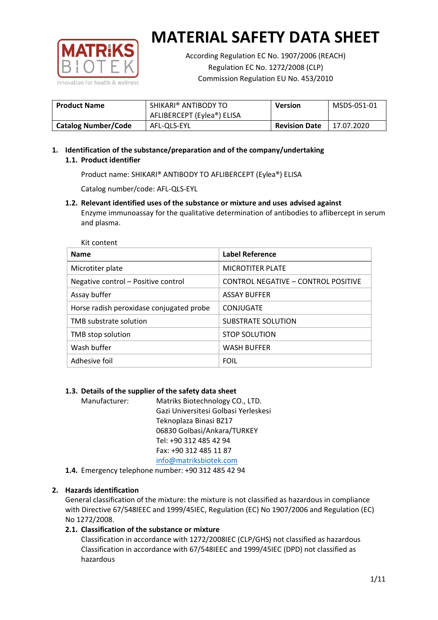

According Regulation EC No. 1907/2006 (REACH) Regulation EC No. 1272/2008 (CLP) Commission Regulation EU No. 453/2010

| <b>Product Name</b>        | SHIKARI® ANTIBODY TO<br>AFLIBERCEPT (Eylea®) ELISA | <b>Version</b>       | MSDS-051-01 |
|----------------------------|----------------------------------------------------|----------------------|-------------|
| <b>Catalog Number/Code</b> | AFL-OLS-EYL                                        | <b>Revision Date</b> | 17.07.2020  |

## **1. Identification of the substance/preparation and of the company/undertaking 1.1. Product identifier**

Product name: SHIKARI® ANTIBODY TO AFLIBERCEPT (Eylea®) ELISA

Catalog number/code: AFL-QLS-EYL

**1.2. Relevant identified uses of the substance or mixture and uses advised against**

Enzyme immunoassay for the qualitative determination of antibodies to aflibercept in serum and plasma.

| Kit content                              |                                     |
|------------------------------------------|-------------------------------------|
| <b>Name</b>                              | <b>Label Reference</b>              |
| Microtiter plate                         | <b>MICROTITER PLATE</b>             |
| Negative control - Positive control      | CONTROL NEGATIVE - CONTROL POSITIVE |
| Assay buffer                             | <b>ASSAY BUFFER</b>                 |
| Horse radish peroxidase conjugated probe | CONJUGATE                           |
| TMB substrate solution                   | SUBSTRATE SOLUTION                  |
| TMB stop solution                        | <b>STOP SOLUTION</b>                |
| Wash buffer                              | <b>WASH BUFFER</b>                  |
| Adhesive foil                            | <b>FOIL</b>                         |

## **1.3. Details of the supplier of the safety data sheet**

Manufacturer: Matriks Biotechnology CO., LTD. Gazi Universitesi Golbasi Yerleskesi Teknoplaza Binasi BZ17 06830 Golbasi/Ankara/TURKEY Tel: +90 312 485 42 94 Fax: +90 312 485 11 87 [info@matriksbiotek.com](mailto:info@matriksbiotek.com)

**1.4.** Emergency telephone number: +90 312 485 42 94

## **2. Hazards identification**

General classification of the mixture: the mixture is not classified as hazardous in compliance with Directive 67/548IEEC and 1999/45IEC, Regulation (EC) No 1907/2006 and Regulation (EC) No 1272/2008.

## **2.1. Classification of the substance or mixture**

Classification in accordance with 1272/2008IEC (CLP/GHS) not classified as hazardous Classification in accordance with 67/548IEEC and 1999/45IEC (DPD) not classified as hazardous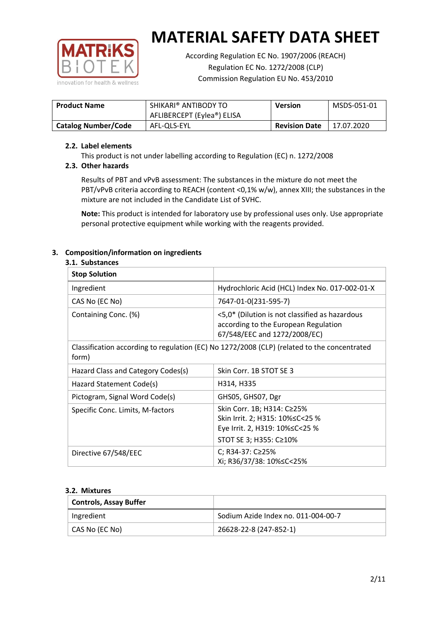

According Regulation EC No. 1907/2006 (REACH) Regulation EC No. 1272/2008 (CLP) Commission Regulation EU No. 453/2010

| <b>Product Name</b>        | SHIKARI® ANTIBODY TO<br>AFLIBERCEPT (Eylea®) ELISA | <b>Version</b>       | MSDS-051-01 |
|----------------------------|----------------------------------------------------|----------------------|-------------|
| <b>Catalog Number/Code</b> | AFL-OLS-EYL                                        | <b>Revision Date</b> | 17.07.2020  |

### **2.2. Label elements**

This product is not under labelling according to Regulation (EC) n. 1272/2008

## **2.3. Other hazards**

Results of PBT and vPvB assessment: The substances in the mixture do not meet the PBT/vPvB criteria according to REACH (content <0,1% w/w), annex XIII; the substances in the mixture are not included in the Candidate List of SVHC.

**Note:** This product is intended for laboratory use by professional uses only. Use appropriate personal protective equipment while working with the reagents provided.

## **3. Composition/information on ingredients**

#### **3.1. Substances**

| <b>Stop Solution</b>                                                                                 |                                                                                                                           |
|------------------------------------------------------------------------------------------------------|---------------------------------------------------------------------------------------------------------------------------|
| Ingredient                                                                                           | Hydrochloric Acid (HCL) Index No. 017-002-01-X                                                                            |
| CAS No (EC No)                                                                                       | 7647-01-0(231-595-7)                                                                                                      |
| Containing Conc. (%)                                                                                 | <5,0* (Dilution is not classified as hazardous<br>according to the European Regulation<br>67/548/EEC and 1272/2008/EC)    |
| Classification according to regulation (EC) No 1272/2008 (CLP) (related to the concentrated<br>form) |                                                                                                                           |
| Hazard Class and Category Codes(s)                                                                   | Skin Corr. 1B STOT SE 3                                                                                                   |
| Hazard Statement Code(s)                                                                             | H314, H335                                                                                                                |
| Pictogram, Signal Word Code(s)                                                                       | GHS05, GHS07, Dgr                                                                                                         |
| Specific Conc. Limits, M-factors                                                                     | Skin Corr. 1B; H314: C≥25%<br>Skin Irrit. 2; H315: 10%≤C<25 %<br>Eye Irrit. 2, H319: 10%≤C<25 %<br>STOT SE 3; H355: C≥10% |
| Directive 67/548/EEC                                                                                 | C; R34-37: C≥25%<br>Xi; R36/37/38: 10% <<<<<<<                                                                            |

#### **3.2. Mixtures**

| <b>Controls, Assay Buffer</b> |                                     |
|-------------------------------|-------------------------------------|
| Ingredient                    | Sodium Azide Index no. 011-004-00-7 |
| CAS No (EC No)                | 26628-22-8 (247-852-1)              |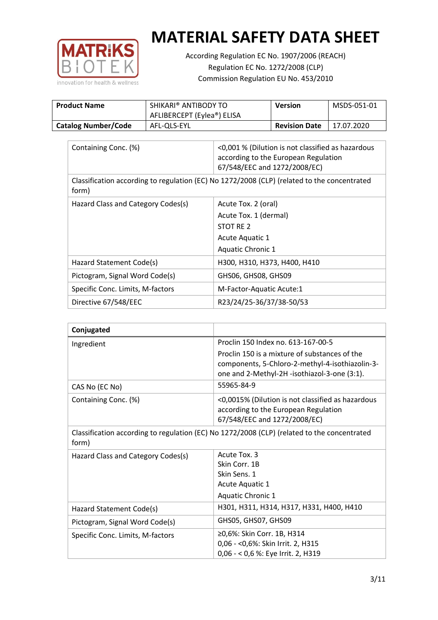

According Regulation EC No. 1907/2006 (REACH) Regulation EC No. 1272/2008 (CLP) Commission Regulation EU No. 453/2010

| <b>Product Name</b>        | SHIKARI® ANTIBODY TO<br>AFLIBERCEPT (Eylea®) ELISA | <b>Version</b>       | MSDS-051-01 |
|----------------------------|----------------------------------------------------|----------------------|-------------|
| <b>Catalog Number/Code</b> | AFL-OLS-EYL                                        | <b>Revision Date</b> | 17.07.2020  |

| Containing Conc. (%)                                                                                 | <0,001 % (Dilution is not classified as hazardous<br>according to the European Regulation<br>67/548/EEC and 1272/2008/EC) |  |
|------------------------------------------------------------------------------------------------------|---------------------------------------------------------------------------------------------------------------------------|--|
| Classification according to regulation (EC) No 1272/2008 (CLP) (related to the concentrated<br>form) |                                                                                                                           |  |
| Hazard Class and Category Codes(s)                                                                   | Acute Tox. 2 (oral)                                                                                                       |  |
|                                                                                                      | Acute Tox. 1 (dermal)                                                                                                     |  |
|                                                                                                      | STOT RE 2                                                                                                                 |  |
|                                                                                                      | Acute Aquatic 1                                                                                                           |  |
|                                                                                                      | <b>Aquatic Chronic 1</b>                                                                                                  |  |
| Hazard Statement Code(s)                                                                             | H300, H310, H373, H400, H410                                                                                              |  |
| Pictogram, Signal Word Code(s)                                                                       | GHS06, GHS08, GHS09                                                                                                       |  |
| Specific Conc. Limits, M-factors                                                                     | M-Factor-Aquatic Acute:1                                                                                                  |  |
| Directive 67/548/EEC                                                                                 | R23/24/25-36/37/38-50/53                                                                                                  |  |

| Conjugated                                                                                           |                                                                                                                                                  |  |
|------------------------------------------------------------------------------------------------------|--------------------------------------------------------------------------------------------------------------------------------------------------|--|
| Ingredient                                                                                           | Proclin 150 Index no. 613-167-00-5                                                                                                               |  |
|                                                                                                      | Proclin 150 is a mixture of substances of the<br>components, 5-Chloro-2-methyl-4-isothiazolin-3-<br>one and 2-Methyl-2H -isothiazol-3-one (3:1). |  |
| CAS No (EC No)                                                                                       | 55965-84-9                                                                                                                                       |  |
| Containing Conc. (%)                                                                                 | <0,0015% (Dilution is not classified as hazardous<br>according to the European Regulation<br>67/548/EEC and 1272/2008/EC)                        |  |
| Classification according to regulation (EC) No 1272/2008 (CLP) (related to the concentrated<br>form) |                                                                                                                                                  |  |
| Hazard Class and Category Codes(s)                                                                   | Acute Tox. 3                                                                                                                                     |  |
|                                                                                                      | Skin Corr. 1B                                                                                                                                    |  |
|                                                                                                      | Skin Sens. 1                                                                                                                                     |  |
|                                                                                                      | Acute Aquatic 1                                                                                                                                  |  |
|                                                                                                      | <b>Aquatic Chronic 1</b>                                                                                                                         |  |
| Hazard Statement Code(s)                                                                             | H301, H311, H314, H317, H331, H400, H410                                                                                                         |  |
| Pictogram, Signal Word Code(s)                                                                       | GHS05, GHS07, GHS09                                                                                                                              |  |
| Specific Conc. Limits, M-factors                                                                     | ≥0,6%: Skin Corr. 1B, H314                                                                                                                       |  |
|                                                                                                      | 0,06 - < 0,6%: Skin Irrit. 2, H315                                                                                                               |  |
|                                                                                                      | 0,06 - < 0,6 %: Eye Irrit. 2, H319                                                                                                               |  |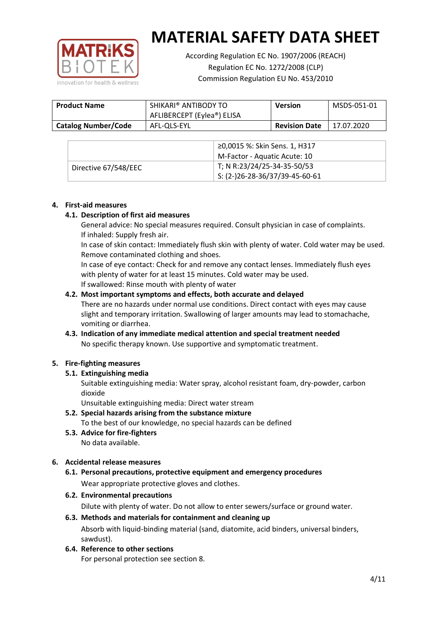

According Regulation EC No. 1907/2006 (REACH) Regulation EC No. 1272/2008 (CLP) Commission Regulation EU No. 453/2010

| <b>Product Name</b>        | SHIKARI <sup>®</sup> ANTIBODY TO<br>AFLIBERCEPT (Eylea®) ELISA | <b>Version</b>       | MSDS-051-01 |
|----------------------------|----------------------------------------------------------------|----------------------|-------------|
| <b>Catalog Number/Code</b> | AFL-OLS-EYL                                                    | <b>Revision Date</b> | 17.07.2020  |

|                      | ≥0,0015 %: Skin Sens. 1, H317                |
|----------------------|----------------------------------------------|
|                      | M-Factor - Aquatic Acute: 10                 |
| Directive 67/548/EEC | T; N R:23/24/25-34-35-50/53                  |
|                      | $\frac{1}{2}$ S: (2-)26-28-36/37/39-45-60-61 |

#### **4. First-aid measures**

#### **4.1. Description of first aid measures**

General advice: No special measures required. Consult physician in case of complaints. If inhaled: Supply fresh air.

In case of skin contact: Immediately flush skin with plenty of water. Cold water may be used. Remove contaminated clothing and shoes.

In case of eye contact: Check for and remove any contact lenses. Immediately flush eyes with plenty of water for at least 15 minutes. Cold water may be used. If swallowed: Rinse mouth with plenty of water

#### **4.2. Most important symptoms and effects, both accurate and delayed**

There are no hazards under normal use conditions. Direct contact with eyes may cause slight and temporary irritation. Swallowing of larger amounts may lead to stomachache, vomiting or diarrhea.

## **4.3. Indication of any immediate medical attention and special treatment needed** No specific therapy known. Use supportive and symptomatic treatment.

## **5. Fire-fighting measures**

## **5.1. Extinguishing media**

Suitable extinguishing media: Water spray, alcohol resistant foam, dry-powder, carbon dioxide

Unsuitable extinguishing media: Direct water stream

- **5.2. Special hazards arising from the substance mixture** To the best of our knowledge, no special hazards can be defined
- **5.3. Advice for fire-fighters** No data available.

## **6. Accidental release measures**

- **6.1. Personal precautions, protective equipment and emergency procedures** Wear appropriate protective gloves and clothes.
- **6.2. Environmental precautions**

Dilute with plenty of water. Do not allow to enter sewers/surface or ground water.

#### **6.3. Methods and materials for containment and cleaning up** Absorb with liquid-binding material (sand, diatomite, acid binders, universal binders, sawdust).

**6.4. Reference to other sections**

For personal protection see section 8.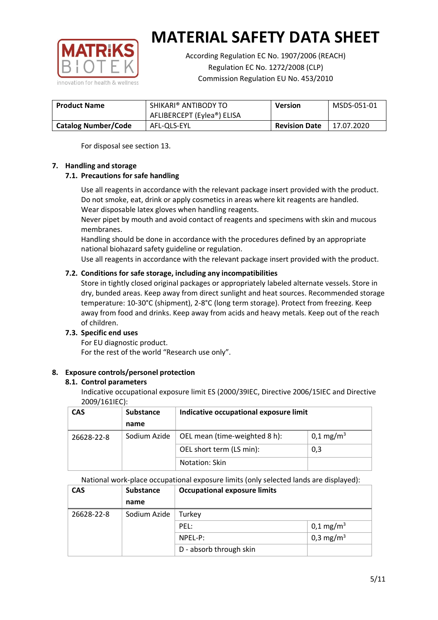

According Regulation EC No. 1907/2006 (REACH) Regulation EC No. 1272/2008 (CLP) Commission Regulation EU No. 453/2010

| <b>Product Name</b>        | SHIKARI® ANTIBODY TO<br>AFLIBERCEPT (Eylea®) ELISA | <b>Version</b>       | MSDS-051-01 |
|----------------------------|----------------------------------------------------|----------------------|-------------|
| <b>Catalog Number/Code</b> | AFL-OLS-EYL                                        | <b>Revision Date</b> | 17.07.2020  |

For disposal see section 13.

#### **7. Handling and storage**

## **7.1. Precautions for safe handling**

Use all reagents in accordance with the relevant package insert provided with the product. Do not smoke, eat, drink or apply cosmetics in areas where kit reagents are handled. Wear disposable latex gloves when handling reagents.

Never pipet by mouth and avoid contact of reagents and specimens with skin and mucous membranes.

Handling should be done in accordance with the procedures defined by an appropriate national biohazard safety guideline or regulation.

Use all reagents in accordance with the relevant package insert provided with the product.

## **7.2. Conditions for safe storage, including any incompatibilities**

Store in tightly closed original packages or appropriately labeled alternate vessels. Store in dry, bunded areas. Keep away from direct sunlight and heat sources. Recommended storage temperature: 10-30°C (shipment), 2-8°C (long term storage). Protect from freezing. Keep away from food and drinks. Keep away from acids and heavy metals. Keep out of the reach of children.

## **7.3. Specific end uses**

For EU diagnostic product. For the rest of the world "Research use only".

## **8. Exposure controls/personel protection**

#### **8.1. Control parameters**

Indicative occupational exposure limit ES (2000/39IEC, Directive 2006/15IEC and Directive 2009/161IEC):

| <b>CAS</b> | <b>Substance</b> | Indicative occupational exposure limit |                       |
|------------|------------------|----------------------------------------|-----------------------|
|            | name             |                                        |                       |
| 26628-22-8 | Sodium Azide     | OEL mean (time-weighted 8 h):          | 0,1 mg/m <sup>3</sup> |
|            |                  | OEL short term (LS min):               | 0,3                   |
|            |                  | Notation: Skin                         |                       |

National work-place occupational exposure limits (only selected lands are displayed):

| <b>CAS</b> | <b>Substance</b> | <b>Occupational exposure limits</b> |                         |
|------------|------------------|-------------------------------------|-------------------------|
|            | name             |                                     |                         |
| 26628-22-8 | Sodium Azide     | Turkey                              |                         |
|            |                  | PEL:                                | $0,1 \,\mathrm{mg/m^3}$ |
|            |                  | $NPEL-P$ :                          | 0,3 mg/m <sup>3</sup>   |
|            |                  | D - absorb through skin             |                         |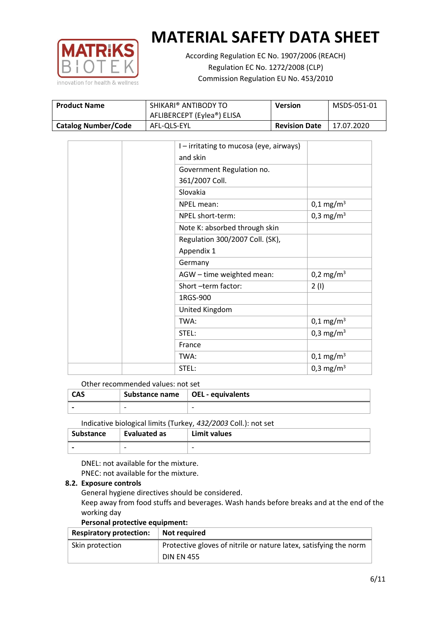

According Regulation EC No. 1907/2006 (REACH) Regulation EC No. 1272/2008 (CLP) Commission Regulation EU No. 453/2010

| <b>Product Name</b>        | SHIKARI® ANTIBODY TO       | Version              | MSDS-051-01 |
|----------------------------|----------------------------|----------------------|-------------|
|                            | AFLIBERCEPT (Eylea®) ELISA |                      |             |
| <b>Catalog Number/Code</b> | AFL-QLS-EYL                | <b>Revision Date</b> | 17.07.2020  |

|  | I - irritating to mucosa (eye, airways) |                         |
|--|-----------------------------------------|-------------------------|
|  | and skin                                |                         |
|  | Government Regulation no.               |                         |
|  | 361/2007 Coll.                          |                         |
|  | Slovakia                                |                         |
|  | NPEL mean:                              | $0,1 \,\mathrm{mg/m^3}$ |
|  | NPEL short-term:                        | 0,3 mg/m <sup>3</sup>   |
|  | Note K: absorbed through skin           |                         |
|  | Regulation 300/2007 Coll. (SK),         |                         |
|  | Appendix 1                              |                         |
|  | Germany                                 |                         |
|  | AGW - time weighted mean:               | 0,2 mg/m <sup>3</sup>   |
|  | Short-term factor:                      | 2(1)                    |
|  | 1RGS-900                                |                         |
|  | United Kingdom                          |                         |
|  | TWA:                                    | $0,1 \,\mathrm{mg/m^3}$ |
|  | STEL:                                   | 0,3 mg/m <sup>3</sup>   |
|  | France                                  |                         |
|  | TWA:                                    | $0,1 \text{ mg/m}^3$    |
|  | STEL:                                   | 0,3 mg/m <sup>3</sup>   |

#### Other recommended values: not set

| CAS | Substance name $\vert$ OEL - equivalents |   |
|-----|------------------------------------------|---|
|     | $\overline{\phantom{0}}$                 | - |
|     |                                          |   |

Indicative biological limits (Turkey, *432/2003* Coll.): not set

| Substance                | <b>Evaluated as</b>      | Limit values             |
|--------------------------|--------------------------|--------------------------|
| $\overline{\phantom{0}}$ | $\overline{\phantom{0}}$ | $\overline{\phantom{0}}$ |

DNEL: not available for the mixture. PNEC: not available for the mixture.

## **8.2. Exposure controls**

General hygiene directives should be considered.

Keep away from food stuffs and beverages. Wash hands before breaks and at the end of the working day

#### **Personal protective equipment:**

| <b>Respiratory protection:</b> | Not required                                                      |
|--------------------------------|-------------------------------------------------------------------|
| Skin protection                | Protective gloves of nitrile or nature latex, satisfying the norm |
|                                | <b>DIN EN 455</b>                                                 |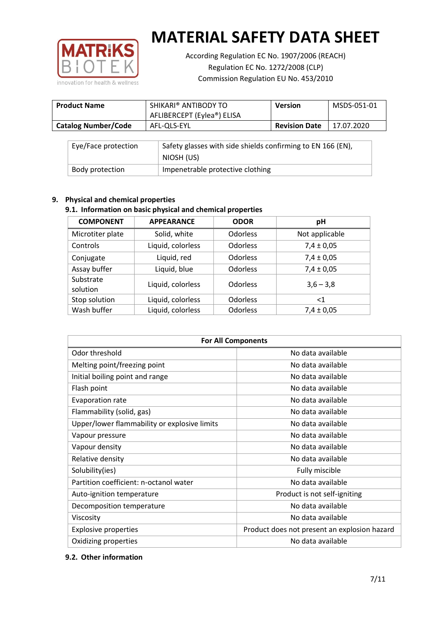

According Regulation EC No. 1907/2006 (REACH) Regulation EC No. 1272/2008 (CLP) Commission Regulation EU No. 453/2010

| <b>Product Name</b>        | SHIKARI <sup>®</sup> ANTIBODY TO<br>AFLIBERCEPT (Eylea®) ELISA | <b>Version</b>       | MSDS-051-01 |
|----------------------------|----------------------------------------------------------------|----------------------|-------------|
| <b>Catalog Number/Code</b> | AFL-OLS-EYL                                                    | <b>Revision Date</b> | 17.07.2020  |

| Eye/Face protection | Safety glasses with side shields confirming to EN 166 (EN),<br>NIOSH (US) |
|---------------------|---------------------------------------------------------------------------|
| Body protection     | Impenetrable protective clothing                                          |

## **9. Physical and chemical properties**

## **9.1. Information on basic physical and chemical properties**

| <b>COMPONENT</b>      | <b>APPEARANCE</b> | <b>ODOR</b>     | рH             |
|-----------------------|-------------------|-----------------|----------------|
| Microtiter plate      | Solid, white      | <b>Odorless</b> | Not applicable |
| Controls              | Liquid, colorless | <b>Odorless</b> | $7,4 \pm 0,05$ |
| Conjugate             | Liquid, red       | <b>Odorless</b> | $7,4 \pm 0,05$ |
| Assay buffer          | Liquid, blue      | <b>Odorless</b> | $7,4 \pm 0,05$ |
| Substrate<br>solution | Liquid, colorless | <b>Odorless</b> | $3,6 - 3,8$    |
| Stop solution         | Liquid, colorless | <b>Odorless</b> | $<$ 1          |
| Wash buffer           | Liquid, colorless | <b>Odorless</b> | $7,4 \pm 0,05$ |

| <b>For All Components</b>                    |                                              |  |  |
|----------------------------------------------|----------------------------------------------|--|--|
| Odor threshold                               | No data available                            |  |  |
| Melting point/freezing point                 | No data available                            |  |  |
| Initial boiling point and range              | No data available                            |  |  |
| Flash point                                  | No data available                            |  |  |
| Evaporation rate                             | No data available                            |  |  |
| Flammability (solid, gas)                    | No data available                            |  |  |
| Upper/lower flammability or explosive limits | No data available                            |  |  |
| Vapour pressure                              | No data available                            |  |  |
| Vapour density                               | No data available                            |  |  |
| Relative density                             | No data available                            |  |  |
| Solubility(ies)                              | Fully miscible                               |  |  |
| Partition coefficient: n-octanol water       | No data available                            |  |  |
| Auto-ignition temperature                    | Product is not self-igniting                 |  |  |
| Decomposition temperature                    | No data available                            |  |  |
| Viscosity                                    | No data available                            |  |  |
| <b>Explosive properties</b>                  | Product does not present an explosion hazard |  |  |
| Oxidizing properties                         | No data available                            |  |  |

## **9.2. Other information**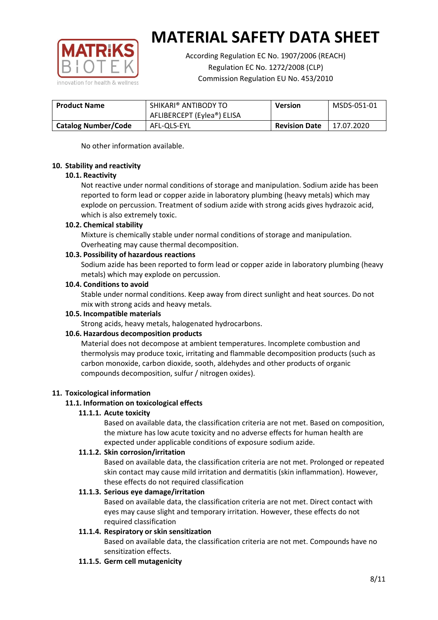

According Regulation EC No. 1907/2006 (REACH) Regulation EC No. 1272/2008 (CLP) Commission Regulation EU No. 453/2010

| <b>Product Name</b>        | SHIKARI® ANTIBODY TO       | <b>Version</b>       | MSDS-051-01 |
|----------------------------|----------------------------|----------------------|-------------|
|                            | AFLIBERCEPT (Eylea®) ELISA |                      |             |
| <b>Catalog Number/Code</b> | AFL-OLS-EYL                | <b>Revision Date</b> | 17.07.2020  |

No other information available.

#### **10. Stability and reactivity**

#### **10.1. Reactivity**

Not reactive under normal conditions of storage and manipulation. Sodium azide has been reported to form lead or copper azide in laboratory plumbing (heavy metals) which may explode on percussion. Treatment of sodium azide with strong acids gives hydrazoic acid, which is also extremely toxic.

#### **10.2. Chemical stability**

Mixture is chemically stable under normal conditions of storage and manipulation. Overheating may cause thermal decomposition.

#### **10.3. Possibility of hazardous reactions**

Sodium azide has been reported to form lead or copper azide in laboratory plumbing (heavy metals) which may explode on percussion.

## **10.4. Conditions to avoid**

Stable under normal conditions. Keep away from direct sunlight and heat sources. Do not mix with strong acids and heavy metals.

#### **10.5. Incompatible materials**

Strong acids, heavy metals, halogenated hydrocarbons.

## **10.6. Hazardous decomposition products**

Material does not decompose at ambient temperatures. Incomplete combustion and thermolysis may produce toxic, irritating and flammable decomposition products (such as carbon monoxide, carbon dioxide, sooth, aldehydes and other products of organic compounds decomposition, sulfur / nitrogen oxides).

## **11. Toxicological information**

## **11.1. Information on toxicological effects**

#### **11.1.1. Acute toxicity**

Based on available data, the classification criteria are not met. Based on composition, the mixture has low acute toxicity and no adverse effects for human health are expected under applicable conditions of exposure sodium azide.

#### **11.1.2. Skin corrosion/irritation**

Based on available data, the classification criteria are not met. Prolonged or repeated skin contact may cause mild irritation and dermatitis (skin inflammation). However, these effects do not required classification

## **11.1.3. Serious eye damage/irritation**

Based on available data, the classification criteria are not met. Direct contact with eyes may cause slight and temporary irritation. However, these effects do not required classification

## **11.1.4. Respiratory or skin sensitization**

Based on available data, the classification criteria are not met. Compounds have no sensitization effects.

#### **11.1.5. Germ cell mutagenicity**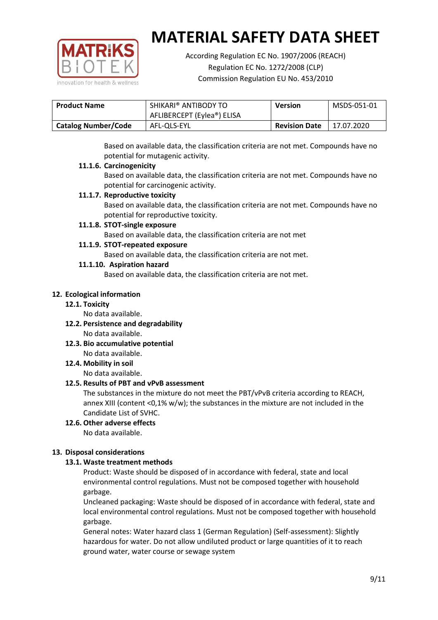

According Regulation EC No. 1907/2006 (REACH) Regulation EC No. 1272/2008 (CLP) Commission Regulation EU No. 453/2010

| <b>Product Name</b> | SHIKARI® ANTIBODY TO       | <b>Version</b>       | MSDS-051-01 |
|---------------------|----------------------------|----------------------|-------------|
|                     | AFLIBERCEPT (Eylea®) ELISA |                      |             |
| Catalog Number/Code | AFL-OLS-EYL                | <b>Revision Date</b> | 17.07.2020  |

Based on available data, the classification criteria are not met. Compounds have no potential for mutagenic activity.

#### **11.1.6. Carcinogenicity**

Based on available data, the classification criteria are not met. Compounds have no potential for carcinogenic activity.

## **11.1.7. Reproductive toxicity**

Based on available data, the classification criteria are not met. Compounds have no potential for reproductive toxicity.

## **11.1.8. STOT-single exposure**

Based on available data, the classification criteria are not met

#### **11.1.9. STOT-repeated exposure**

Based on available data, the classification criteria are not met.

#### **11.1.10. Aspiration hazard**

Based on available data, the classification criteria are not met.

#### **12. Ecological information**

#### **12.1. Toxicity**

No data available.

- **12.2. Persistence and degradability** No data available.
- **12.3. Bio accumulative potential** No data available.

**12.4. Mobility in soil**

No data available.

## **12.5. Results of PBT and vPvB assessment**

The substances in the mixture do not meet the PBT/vPvB criteria according to REACH, annex XIII (content <0,1% w/w); the substances in the mixture are not included in the Candidate List of SVHC.

#### **12.6. Other adverse effects** No data available.

## **13. Disposal considerations**

## **13.1. Waste treatment methods**

Product: Waste should be disposed of in accordance with federal, state and local environmental control regulations. Must not be composed together with household garbage.

Uncleaned packaging: Waste should be disposed of in accordance with federal, state and local environmental control regulations. Must not be composed together with household garbage.

General notes: Water hazard class 1 (German Regulation) (Self-assessment): Slightly hazardous for water. Do not allow undiluted product or large quantities of it to reach ground water, water course or sewage system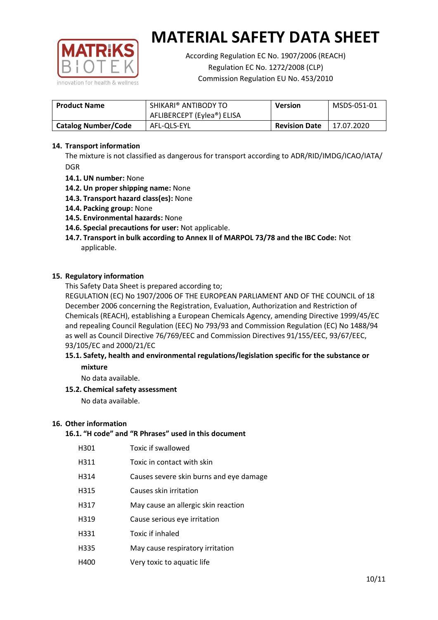

According Regulation EC No. 1907/2006 (REACH) Regulation EC No. 1272/2008 (CLP) Commission Regulation EU No. 453/2010

| <b>Product Name</b>        | SHIKARI® ANTIBODY TO<br><b>Version</b><br>AFLIBERCEPT (Eylea®) ELISA |  | MSDS-051-01 |
|----------------------------|----------------------------------------------------------------------|--|-------------|
| <b>Catalog Number/Code</b> | <b>Revision Date</b><br>AFL-QLS-EYL                                  |  | 17.07.2020  |

### **14. Transport information**

The mixture is not classified as dangerous for transport according to ADR/RID/IMDG/ICAO/IATA/ DGR

- **14.1. UN number:** None
- **14.2. Un proper shipping name:** None
- **14.3. Transport hazard class(es):** None
- **14.4. Packing group:** None
- **14.5. Environmental hazards:** None
- **14.6. Special precautions for user:** Not applicable.
- **14.7. Transport in bulk according to Annex II of MARPOL 73/78 and the IBC Code:** Not applicable.

#### **15. Regulatory information**

This Safety Data Sheet is prepared according to;

REGULATION (EC) No 1907/2006 OF THE EUROPEAN PARLIAMENT AND OF THE COUNCIL of 18 December 2006 concerning the Registration, Evaluation, Authorization and Restriction of Chemicals (REACH), establishing a European Chemicals Agency, amending Directive 1999/45/EC and repealing Council Regulation (EEC) No 793/93 and Commission Regulation (EC) No 1488/94 as well as Council Directive 76/769/EEC and Commission Directives 91/155/EEC, 93/67/EEC, 93/105/EC and 2000/21/EC

#### **15.1. Safety, health and environmental regulations/legislation specific for the substance or mixture**

No data available.

## **15.2. Chemical safety assessment**

No data available.

#### **16. Other information**

## **16.1. "H code" and "R Phrases" used in this document**

|  | H301 | Toxic if swallowed |
|--|------|--------------------|
|--|------|--------------------|

- H311 Toxic in contact with skin
- H314 Causes severe skin burns and eye damage
- H315 Causes skin irritation
- H317 May cause an allergic skin reaction
- H319 Cause serious eye irritation
- H331 Toxic if inhaled
- H335 May cause respiratory irritation
- H400 Very toxic to aquatic life